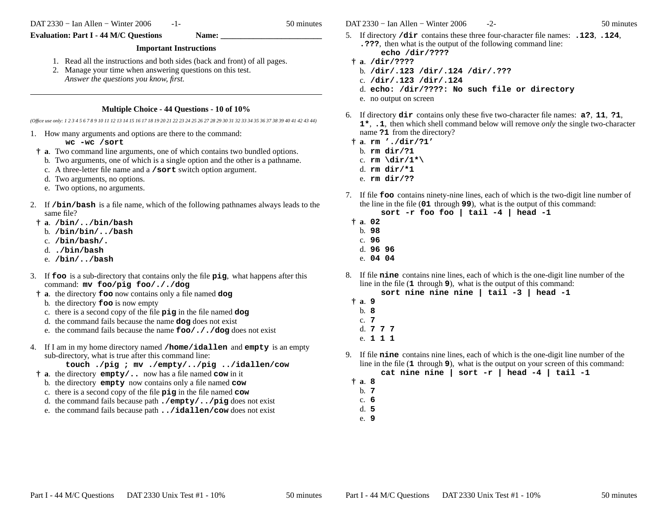DAT 2330 − Ian Allen − Winter 2006

-1- 50 minutes

Evaluation: Part I - 44 M/C Questions **Name:** 

## **Important Instructions**

- 1. Read all the instructions and both sides (back and front) of all pages.
- 2. Manage your time when answering questions on this test. *Answer the questions you know, first.*

## **Multiple Choice - 44 Questions - 10 of 10%**

*(Office use only: 1 2 3 4 5 6 7 8 9 10 11 12 13 14 15 16 17 18 19 20 21 22 23 24 25 26 27 28 29 30 31 32 33 34 35 36 37 38 39 40 41 42 43 44)*

1. How many arguments and options are there to the command:

**wc -wc /sort**

- **† <sup>a</sup>**. Two command line arguments, one of which contains two bundled options.
- b. Two arguments, one of which is a single option and the other is a pathname.
- c. A three-letter file name and a **/sort** switch option argument.
- d. Two arguments, no options.
- e. Two options, no arguments.
- 2. If **/bin/bash** is a file name, which of the following pathnames always leads to the same file?
- **† <sup>a</sup>**. **/bin/../bin/bash**
- b. **/bin/bin/../bash**
- c. **/bin/bash/.**
- d. **./bin/bash**
- e. **/bin/../bash**
- 3. If **foo** is a sub-directory that contains only the file **pig**, what happens after this command: **mv foo/pig foo/././dog**
- **† <sup>a</sup>**. the directory **foo** now contains only a file named **dog**
	- b. the directory **foo** is now empty
	- c. there is a second copy of the file **pig** in the file named **dog**
	- d. the command fails because the name **dog** does not exist
	- e. the command fails because the name **foo/././dog** does not exist
- 4. If <sup>I</sup> am in my home directory named **/home/idallen** and **empty** is an empty sub-directory, what is true after this command line:
	- **touch ./pig ; mv ./empty/../pig ../idallen/cow**
	- **† <sup>a</sup>**. the directory **empty/..** now has a file named **cow** in it
		- b. the directory **empty** now contains only a file named **cow**
		- c. there is a second copy of the file **pig** in the file named **cow**
		- d. the command fails because path **./empty/../pig** does not exist
		- e. the command fails because path **../idallen/cow** does not exist

DAT 2330 − Ian Allen − Winter 2006

- 5. If directory **/dir** contains these three four-character file names: **.123**, **.124**, **.???**, then what is the output of the following command line:**echo /dir/????**
- **† <sup>a</sup>**. **/dir/????**
- b. **/dir/.123 /dir/.124 /dir/.???**
- c. **/dir/.123 /dir/.124**
- d. **echo: /dir/????: No such file or directory**
- e. no output on screen
- 6. If directory **dir** contains only these five two-character file names: **a?**, **<sup>11</sup>**, **?1**, **1\***, **.1**, then which shell command below will remove *only* the single two-character name **?1** from the directory?
	- **† <sup>a</sup>**. **rm './dir/?1'**
		- b. **rm dir/?1**
	- c. **rm \dir/1\*\**
	- d. **rm dir/\*1**
	- e. **rm dir/??**
- 7. If file **foo** contains ninety-nine lines, each of which is the two-digit line number of the line in the file (**01** through **<sup>99</sup>**), what is the output of this command:
	- **sort -r foo foo | tail -4 | head -1**
	- **† <sup>a</sup>**. **<sup>02</sup>** b. **98**
		- c. **96**
		- d. **96 96**
		- e. **04 04**
- 8. If file **nine** contains nine lines, each of which is the one-digit line number of the line in the file (**1** through **<sup>9</sup>**), what is the output of this command:

**sort nine nine nine | tail -3 | head -1**

- **† <sup>a</sup>**. **<sup>9</sup>**
- b. **8**
- c. **7**
- d. **777**
- e. **111**
- 9. If file **nine** contains nine lines, each of which is the one-digit line number of the line in the file (**1** through **<sup>9</sup>**), what is the output on your screen of this command: **cat nine nine | sort -r | head -4 | tail -1**
- **† <sup>a</sup>**. **<sup>8</sup>**
- b. **7**
- c. **6**
- d. **5**e. **9**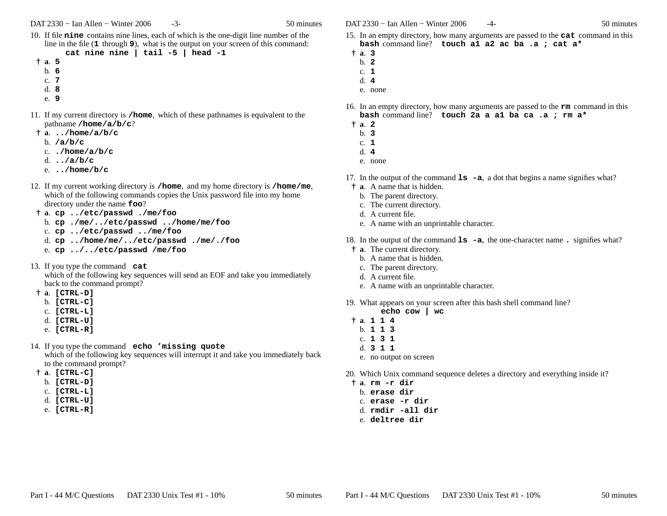- 10. If file **nine** contains nine lines, each of which is the one-digit line number of the line in the file (**1** through **<sup>9</sup>**), what is the output on your screen of this command: **cat nine nine | tail -5 | head -1**
- **† <sup>a</sup>**. **<sup>5</sup>**
	-
	- b. **6**
	- c. **7**
	- d. **8**
	- e. **9**
- 11. If my current directory is **/home**, which of these pathnames is equivalent to thepathname **/home/a/b/c**?
- **† <sup>a</sup>**. **../home/a/b/c**
	- b. **/a/b/c**
	- c. **./home/a/b/c**
	- d. **../a/b/c**
	- e. **../home/b/c**
- 12. If my current working directory is **/home**, and my home directory is **/home/me**, which of the following commands copies the Unix password file into my homedirectory under the name **foo**?
- **† <sup>a</sup>**. **cp ../etc/passwd ./me/foo**
- b. **cp ./me/../etc/passwd ../home/me/foo**
- c. **cp ../etc/passwd ../me/foo**
- d. **cp ../home/me/../etc/passwd ./me/./foo**
- e. **cp ../../etc/passwd /me/foo**
- 13. If you type the command **cat** which of the following key sequences will send an EOF and take you immediatelyback to the command prompt?
- **† <sup>a</sup>**. **[CTRL-D]**
	- b. **[CTRL-C]**
	- c. **[CTRL-L]**
	- d. **[CTRL-U]**
	- e. **[CTRL-R]**
- 14. If you type the command **echo 'missing quote** which of the following key sequences will interrupt it and take you immediately backto the command prompt?
- **† <sup>a</sup>**. **[CTRL-C]**
	- b. **[CTRL-D]**
	- c. **[CTRL-L]**
	- d. **[CTRL-U]**
	- e. **[CTRL-R]**

DAT 2330 − Ian Allen − Winter 2006

- 15. In an empty directory, how many arguments are passed to the **cat** command in this **bash** command line? **touch a1 a2 ac ba .a ; cat a\***
- **† <sup>a</sup>**. **<sup>3</sup>**
- b. **2**
- c. **1**
- d. **4**
- e. none
- 16. In an empty directory, how many arguments are passed to the **rm** command in this **bash** command line? **touch 2a a a1 ba ca .a ; rm a\***
- **† <sup>a</sup>**. **<sup>2</sup>**
	- b. **3**
	- c. **1**
	- d. **4**
	- e. none
- 17. In the output of the command **ls -a**, <sup>a</sup> dot that begins a name signifies what?
- **† <sup>a</sup>**. A name that is hidden.
	- b. The parent directory.
- c. The current directory.
- d. A current file.
- e. A name with an unprintable character.
- 18. In the output of the command **ls -a**, the one-character name **.** signifies what?
- **† <sup>a</sup>**. The current directory.
	- b. A name that is hidden.
	- c. The parent directory.
	- d. A current file.
	- e. A name with an unprintable character.
- 19. What appears on your screen after this bash shell command line?
	- **echo cow | wc**
- **† <sup>a</sup>**. **<sup>114</sup>**
	- b. **113**
	- c. **131**
	- d. **311**
	- e. no output on screen
- 20. Which Unix command sequence deletes a directory and everything inside it?
- **† <sup>a</sup>**. **rm -r dir**
- b. **erase dir**
- c. **erase -r dir**
- d. **rmdir -all dir**
- e. **deltree dir**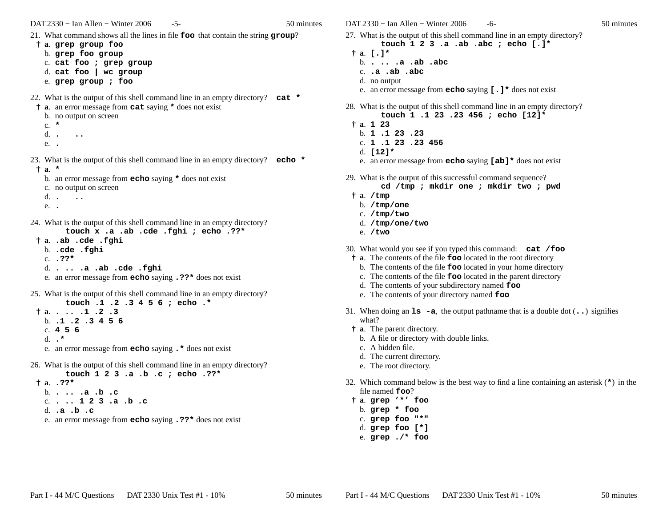DAT 2330 − Ian Allen − Winter 2006-5- 50 minutes

21. What command shows all the lines in file **foo** that contain the string **group**?

- **† <sup>a</sup>**. **grep group foo**
	- b. **grep foo group**
	- c. **cat foo ; grep group**
	- d. **cat foo | wc group**
	- e. **grep group ; foo**

22. What is the output of this shell command line in an empty directory? **cat \***

- **† <sup>a</sup>**. an error message from **cat** saying **\*** does not exist b. no output on screen
- 
- c. **\***
- d.**. ..**
- e. **.**

23. What is the output of this shell command line in an empty directory? **echo \*† <sup>a</sup>**. **\***

- b. an error message from **echo** saying **\*** does not exist
- c. no output on screen
- d. **. ..**
- e. **.**

24. What is the output of this shell command line in an empty directory?**touch x .a .ab .cde .fghi ; echo .??\***

- **† <sup>a</sup>**. **.ab .cde .fghi**
- b. **.cde .fghi**
- c. **.??\***
- d. **. .. .a .ab .cde .fghi**
- e. an error message from **echo** saying **.??\*** does not exist
- 25. What is the output of this shell command line in an empty directory?**touch .1 .2 .3 4 5 6 ; echo .\*† <sup>a</sup>**. **. .. .1 .2 .3**
	- b. **.1 .2 .3 4 5 6**c. **456**
	- d. **.\***
	- e. an error message from **echo** saying **.\*** does not exist
- 26. What is the output of this shell command line in an empty directory?**touch 1 2 3 .a .b .c ; echo .??\***
- **† <sup>a</sup>**. **.??\*** b. **. .. .a .b .c**
	- c. **. .. <sup>1</sup> <sup>2</sup> <sup>3</sup> .a .b .c** d. **.a .b .c**
	- e. an error message from **echo** saying **.??\*** does not exist

DAT 2330 − Ian Allen − Winter 2006

- 27. What is the output of this shell command line in an empty directory?
	- **touch 1 2 3 .a .ab .abc ; echo [.]\***
- **† <sup>a</sup>**. **[.]\***
	- b. **. .. .a .ab .abc**
	- c. **.a .ab .abc**
	- d. no output
	- e. an error message from **echo** saying **[.]\*** does not exist
- 28. What is the output of this shell command line in an empty directory?**touch 1 .1 23 .23 456 ; echo [12]\***
- **† <sup>a</sup>**. **<sup>1</sup> <sup>23</sup>**
	- b. **<sup>1</sup> .1 <sup>23</sup> .23**
	- c. **<sup>1</sup> .1 <sup>23</sup> .23 456**
	- d. **[12]\***
	- e. an error message from **echo** saying **[ab]\*** does not exist
- 29. What is the output of this successful command sequence?
	- **cd /tmp ; mkdir one ; mkdir two ; pwd**
- **† <sup>a</sup>**. **/tmp**
	- b. **/tmp/one**
	- c. **/tmp/two**
	- d. **/tmp/one/two**
- e. **/two**
- 30. What would you see if you typed this command: **cat /foo**
- **† <sup>a</sup>**. The contents of the file **foo** located in the root directory
	- b. The contents of the file **foo** located in your home directory
	- c. The contents of the file **foo** located in the parent directory
	- d. The contents of your subdirectory named **foo**
	- e. The contents of your directory named **foo**
- 31. When doing an **ls -a**, the output pathname that is a double dot (**..**) signifies what?
	- **† <sup>a</sup>**. The parent directory.
		- b. A file or directory with double links.
		- c. A hidden file.
		- d. The current directory.
	- e. The root directory.
- 32. Which command below is the best way to find a line containing an asterisk (**\***) in the file named **foo**?
	- **† <sup>a</sup>**. **grep '\*' foo**
	- b. **grep \* foo**
	- c. **grep foo "\*"**
	- d. **grep foo [\*]**
	- e. **grep ./\* foo**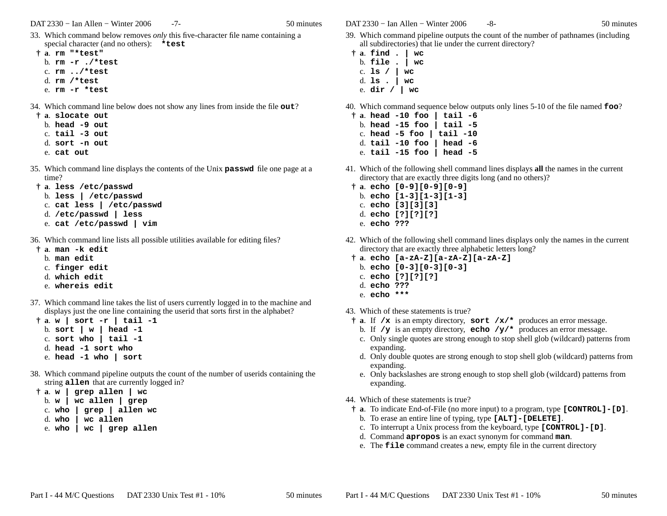DAT 2330 − Ian Allen − Winter 2006

-7- 50 minutes

- 33. Which command below removes *only* this five-character file name containing a special character (and no others): **\*test**
- **† <sup>a</sup>**. **rm "\*test"**
	- b. **rm -r ./\*test**
	- c. **rm ../\*test**
	- d. **rm /\*test**
	- e. **rm -r \*test**
- 34. Which command line below does not show any lines from inside the file **out**?
	- **† <sup>a</sup>**. **slocate out**
		- b. **head -9 out**
		- c. **tail -3 out**
		- d. **sort -n out**
		- e. **cat out**
- 35. Which command line displays the contents of the Unix **passwd** file one page at a time?
- **† <sup>a</sup>**. **less /etc/passwd**
	- b. **less | /etc/passwd**
	- c. **cat less | /etc/passwd**
	- d. **/etc/passwd | less**
	- e. **cat /etc/passwd | vim**
- 36. Which command line lists all possible utilities available for editing files?
- **† <sup>a</sup>**. **man -k edit**
	- b. **man edit**
	- c. **finger edit**
	- d. **which edit**
	- e. **whereis edit**
- 37. Which command line takes the list of users currently logged in to the machine and displays just the one line containing the userid that sorts first in the alphabet?
- **† <sup>a</sup>**. **w|sort -r | tail -1**b. **sort | w | head -1** c. **sort who | tail -1**d. **head -1 sort who**e. **head -1 who | sort**
- 38. Which command pipeline outputs the count of the number of userids containing the string **allen** that are currently logged in?
- **† <sup>a</sup>**. **w|grep allen | wc**
	- b. **<sup>w</sup> | wc allen | grep**
	- c. **who | grep | allen wc**
	- d. $wc$  allen
	- e. **who | wc | grep allen**

DAT 2330 − Ian Allen − Winter 2006

- -8- 50 minutes
- 39. Which command pipeline outputs the count of the number of pathnames (including all subdirectories) that lie under the current directory?
- **† <sup>a</sup>**. **find . | wc** b. **file . | wc**c. **ls / | wc** d. **ls . | wc**e. **dir / | wc**

40. Which command sequence below outputs only lines 5-10 of the file named **foo**?

- **† <sup>a</sup>**. **head -10 foo | tail -6** b. **head -15 foo | tail -5** c. **head -5 foo | tail -10** d. **tail -10 foo | head -6**e. **tail -15 foo | head -5**
- 41. Which of the following shell command lines displays **all** the names in the current directory that are exactly three digits long (and no others)?
- **† <sup>a</sup>**. **echo [0-9][0-9][0-9]**
- b. **echo [1-3][1-3][1-3]**
- c. **echo [3][3][3]**
- d. **echo [?][?][?]**
- e. **echo ???**
- 42. Which of the following shell command lines displays only the names in the current directory that are exactly three alphabetic letters long?
- **† <sup>a</sup>**. **echo [a-zA-Z][a-zA-Z][a-zA-Z]**
	- b. **echo [0-3][0-3][0-3]**
	- c. **echo [?][?][?]**
	- d. **echo ???**
	- e. **echo \*\*\***
- 43. Which of these statements is true?
	- **† <sup>a</sup>**. If **/x** is an empty directory, **sort /x/\*** produces an error message.
	- b. If  $/\mathbf{y}$  is an empty directory, **echo**  $/\mathbf{y}$   $\star$  produces an error message.
	- c. Only single quotes are strong enough to stop shell glob (wildcard) patterns fromexpanding.
	- d. Only double quotes are strong enough to stop shell glob (wildcard) patterns fromexpanding.
	- e. Only backslashes are strong enough to stop shell glob (wildcard) patterns fromexpanding.
- 44. Which of these statements is true?
- **† <sup>a</sup>**. To indicate End-of-File (no more input) to a program, type **[CONTROL]-[D]**.
- b. To erase an entire line of typing, type **[ALT]-[DELETE]**.
- c. To interrupt a Unix process from the keyboard, type **[CONTROL]-[D]**.
- d. Command **apropos** is an exact synonym for command **man**.
- e. The **file** command creates a new, empty file in the current directory